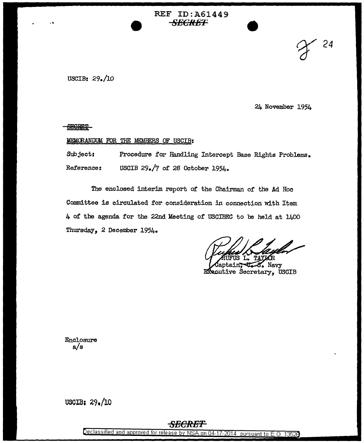# REF ID:A61449 *SECRET*

USCIB:  $29.10$ 

24 November 1954

SY *<sup>24</sup>*

**SECRET** 

...

### MEMORANDUM FOR THE MEMBERS OF USCIB:

Subject: Reference: Procedure for Handling Intercept Base Rights Problems. USCIB 29./7 of 28 October 1954.

The enclosed interim report of the Chairman of the Ad Hoc Committee is circulated for consideration in connection with Item 4 of the agenda for the 22nd Meeting of USCIBEC to be held at 1400 Thursday, 2 December 1954.

TAY

8. Navy Executive Secretary, USCIB

Enclosure a/s

USOIB: 29o/l0

## *SECRET*

Declassified and approved for release by NSA on 04-17-2014 pursuant to E.O. 13528